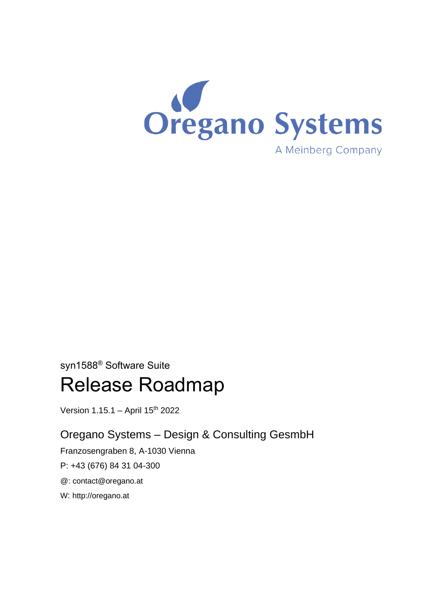

# syn1588® Software Suite

# Release Roadmap

Version 1.15.1 - April 15<sup>th</sup> 2022

# Oregano Systems – Design & Consulting GesmbH

Franzosengraben 8, A-1030 Vienna

P: +43 (676) 84 31 04-300

@: [contact@oregano.at](mailto:contact@oregano.at)

W: [http://oregano.at](http://www.oregano.at/)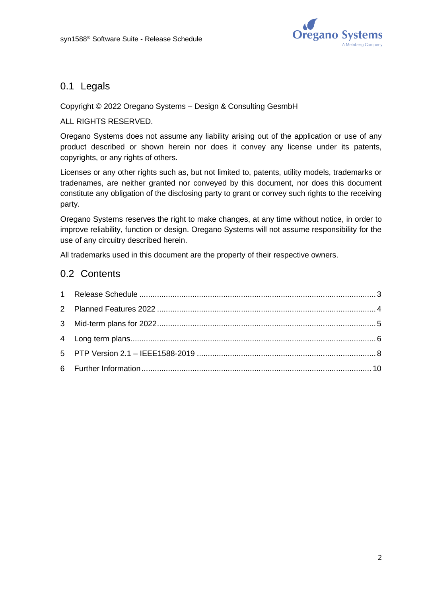

### 0.1 Legals

#### Copyright © 2022 Oregano Systems – Design & Consulting GesmbH

#### ALL RIGHTS RESERVED.

Oregano Systems does not assume any liability arising out of the application or use of any product described or shown herein nor does it convey any license under its patents, copyrights, or any rights of others.

Licenses or any other rights such as, but not limited to, patents, utility models, trademarks or tradenames, are neither granted nor conveyed by this document, nor does this document constitute any obligation of the disclosing party to grant or convey such rights to the receiving party.

Oregano Systems reserves the right to make changes, at any time without notice, in order to improve reliability, function or design. Oregano Systems will not assume responsibility for the use of any circuitry described herein.

All trademarks used in this document are the property of their respective owners.

### 0.2 Contents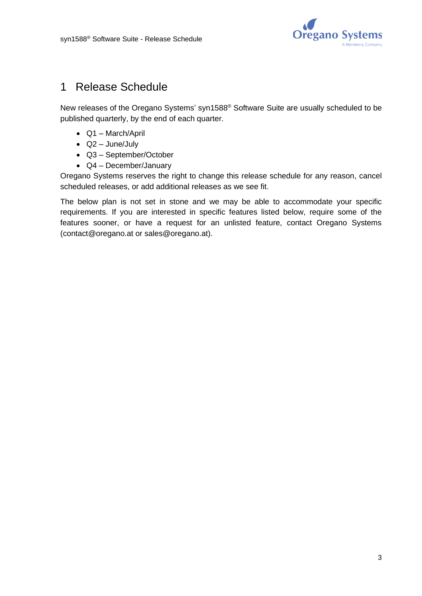

# <span id="page-2-0"></span>1 Release Schedule

New releases of the Oregano Systems' syn1588® Software Suite are usually scheduled to be published quarterly, by the end of each quarter.

- Q1 March/April
- Q2 June/July
- Q3 September/October
- Q4 December/January

Oregano Systems reserves the right to change this release schedule for any reason, cancel scheduled releases, or add additional releases as we see fit.

The below plan is not set in stone and we may be able to accommodate your specific requirements. If you are interested in specific features listed below, require some of the features sooner, or have a request for an unlisted feature, contact Oregano Systems [\(contact@oregano.at](mailto:contact@oregano.at) or [sales@oregano.at\)](mailto:sales@oregano.at).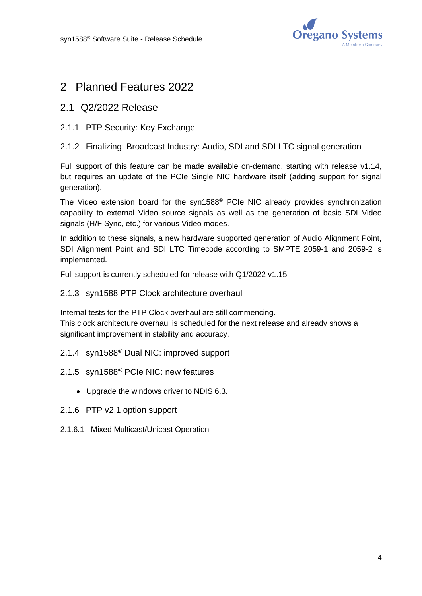

### <span id="page-3-0"></span>2 Planned Features 2022

#### 2.1 Q2/2022 Release

2.1.1 PTP Security: Key Exchange

#### 2.1.2 Finalizing: Broadcast Industry: Audio, SDI and SDI LTC signal generation

Full support of this feature can be made available on-demand, starting with release v1.14, but requires an update of the PCIe Single NIC hardware itself (adding support for signal generation).

The Video extension board for the syn1588® PCIe NIC already provides synchronization capability to external Video source signals as well as the generation of basic SDI Video signals (H/F Sync, etc.) for various Video modes.

In addition to these signals, a new hardware supported generation of Audio Alignment Point, SDI Alignment Point and SDI LTC Timecode according to SMPTE 2059-1 and 2059-2 is implemented.

Full support is currently scheduled for release with Q1/2022 v1.15.

#### 2.1.3 syn1588 PTP Clock architecture overhaul

Internal tests for the PTP Clock overhaul are still commencing. This clock architecture overhaul is scheduled for the next release and already shows a significant improvement in stability and accuracy.

- 2.1.4 syn1588® Dual NIC: improved support
- 2.1.5 syn1588® PCIe NIC: new features
	- Upgrade the windows driver to NDIS 6.3.
- 2.1.6 PTP v2.1 option support
- 2.1.6.1 Mixed Multicast/Unicast Operation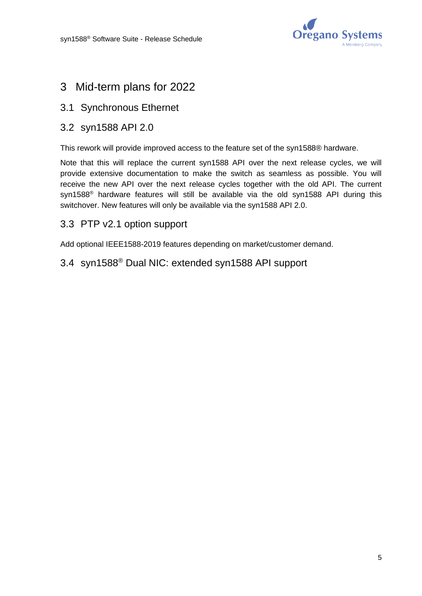

### <span id="page-4-0"></span>3 Mid-term plans for 2022

### 3.1 Synchronous Ethernet

### 3.2 syn1588 API 2.0

This rework will provide improved access to the feature set of the syn1588® hardware.

Note that this will replace the current syn1588 API over the next release cycles, we will provide extensive documentation to make the switch as seamless as possible. You will receive the new API over the next release cycles together with the old API. The current syn1588<sup>®</sup> hardware features will still be available via the old syn1588 API during this switchover. New features will only be available via the syn1588 API 2.0.

### 3.3 PTP v2.1 option support

Add optional IEEE1588-2019 features depending on market/customer demand.

# 3.4 syn1588® Dual NIC: extended syn1588 API support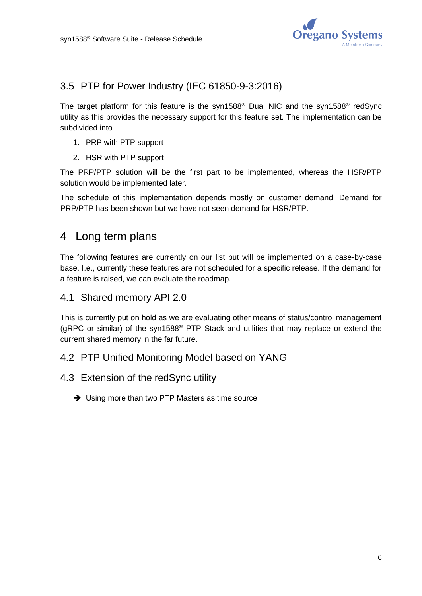

### 3.5 PTP for Power Industry (IEC 61850-9-3:2016)

The target platform for this feature is the syn1588<sup>®</sup> Dual NIC and the syn1588<sup>®</sup> redSync utility as this provides the necessary support for this feature set. The implementation can be subdivided into

- 1. PRP with PTP support
- 2. HSR with PTP support

The PRP/PTP solution will be the first part to be implemented, whereas the HSR/PTP solution would be implemented later.

The schedule of this implementation depends mostly on customer demand. Demand for PRP/PTP has been shown but we have not seen demand for HSR/PTP.

### <span id="page-5-0"></span>4 Long term plans

The following features are currently on our list but will be implemented on a case-by-case base. I.e., currently these features are not scheduled for a specific release. If the demand for a feature is raised, we can evaluate the roadmap.

4.1 Shared memory API 2.0

This is currently put on hold as we are evaluating other means of status/control management (gRPC or similar) of the syn1588® PTP Stack and utilities that may replace or extend the current shared memory in the far future.

#### 4.2 PTP Unified Monitoring Model based on YANG

- 4.3 Extension of the redSync utility
	- **→** Using more than two PTP Masters as time source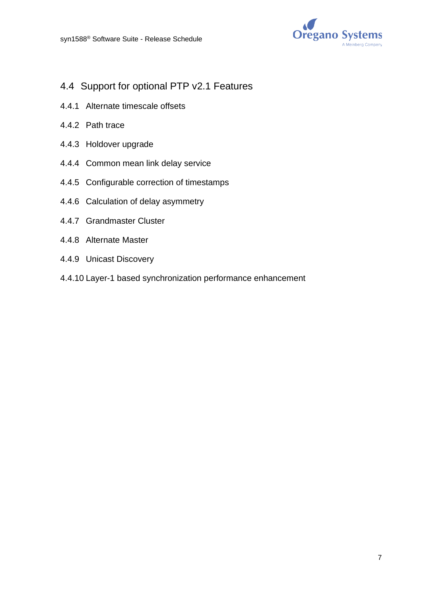

- 4.4 Support for optional PTP v2.1 Features
- 4.4.1 Alternate timescale offsets
- 4.4.2 Path trace
- 4.4.3 Holdover upgrade
- 4.4.4 Common mean link delay service
- 4.4.5 Configurable correction of timestamps
- 4.4.6 Calculation of delay asymmetry
- 4.4.7 Grandmaster Cluster
- 4.4.8 Alternate Master
- 4.4.9 Unicast Discovery
- 4.4.10 Layer-1 based synchronization performance enhancement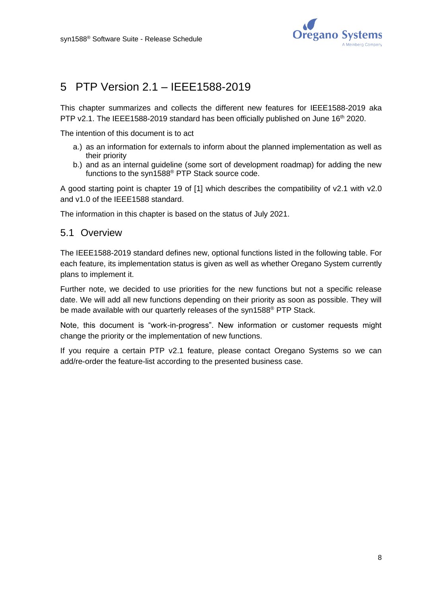

# <span id="page-7-0"></span>5 PTP Version 2.1 – IEEE1588-2019

This chapter summarizes and collects the different new features for IEEE1588-2019 aka PTP v2.1. The IEEE1588-2019 standard has been officially published on June 16<sup>th</sup> 2020.

The intention of this document is to act

- a.) as an information for externals to inform about the planned implementation as well as their priority
- b.) and as an internal guideline (some sort of development roadmap) for adding the new functions to the syn1588® PTP Stack source code.

A good starting point is chapter 19 of [1] which describes the compatibility of v2.1 with v2.0 and v1.0 of the IEEE1588 standard.

The information in this chapter is based on the status of July 2021.

#### 5.1 Overview

The IEEE1588-2019 standard defines new, optional functions listed in the following table. For each feature, its implementation status is given as well as whether Oregano System currently plans to implement it.

Further note, we decided to use priorities for the new functions but not a specific release date. We will add all new functions depending on their priority as soon as possible. They will be made available with our quarterly releases of the syn1588® PTP Stack.

Note, this document is "work-in-progress". New information or customer requests might change the priority or the implementation of new functions.

If you require a certain PTP v2.1 feature, please contact Oregano Systems so we can add/re-order the feature-list according to the presented business case.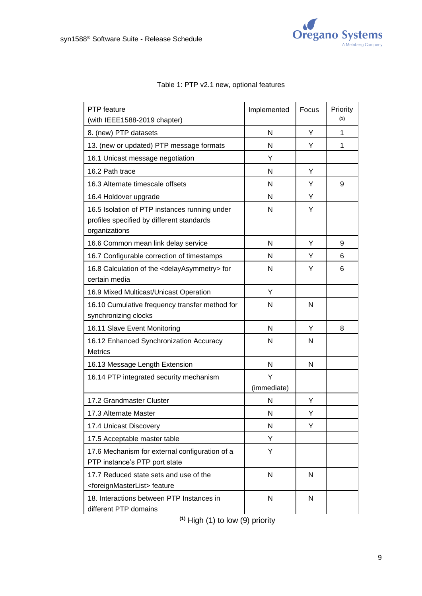

| PTP feature                                                                                                 | Implemented  | Focus | Priority<br>(1) |
|-------------------------------------------------------------------------------------------------------------|--------------|-------|-----------------|
| (with IEEE1588-2019 chapter)<br>8. (new) PTP datasets                                                       | N            | Y     | 1               |
| 13. (new or updated) PTP message formats                                                                    | N            | Y     | 1               |
|                                                                                                             | Y            |       |                 |
| 16.1 Unicast message negotiation                                                                            |              |       |                 |
| 16.2 Path trace                                                                                             | N            | Y     |                 |
| 16.3 Alternate timescale offsets                                                                            | N            | Y     | 9               |
| 16.4 Holdover upgrade                                                                                       | N            | Y     |                 |
| 16.5 Isolation of PTP instances running under<br>profiles specified by different standards<br>organizations | N            | Y     |                 |
| 16.6 Common mean link delay service                                                                         | N            | Y     | 9               |
| 16.7 Configurable correction of timestamps                                                                  | N            | Y     | 6               |
| 16.8 Calculation of the <delayasymmetry> for</delayasymmetry>                                               | N            | Y     | 6               |
| certain media                                                                                               |              |       |                 |
| 16.9 Mixed Multicast/Unicast Operation                                                                      | Υ            |       |                 |
| 16.10 Cumulative frequency transfer method for                                                              | N            | N     |                 |
| synchronizing clocks                                                                                        |              |       |                 |
| 16.11 Slave Event Monitoring                                                                                | N            | Y     | 8               |
| 16.12 Enhanced Synchronization Accuracy<br><b>Metrics</b>                                                   | N            | N     |                 |
| 16.13 Message Length Extension                                                                              | N            | N     |                 |
| 16.14 PTP integrated security mechanism                                                                     | Y            |       |                 |
|                                                                                                             | (immediate)  |       |                 |
| 17.2 Grandmaster Cluster                                                                                    | N            | Υ     |                 |
| 17.3 Alternate Master                                                                                       | N            | Υ     |                 |
| 17.4 Unicast Discovery                                                                                      | N            | Υ     |                 |
| 17.5 Acceptable master table                                                                                | Y            |       |                 |
| 17.6 Mechanism for external configuration of a<br>PTP instance's PTP port state                             | Y            |       |                 |
| 17.7 Reduced state sets and use of the<br><foreignmasterlist> feature</foreignmasterlist>                   | $\mathsf{N}$ | N     |                 |
| 18. Interactions between PTP Instances in<br>different PTP domains                                          | N            | N     |                 |

#### Table 1: PTP v2.1 new, optional features

**(1)** High (1) to low (9) priority